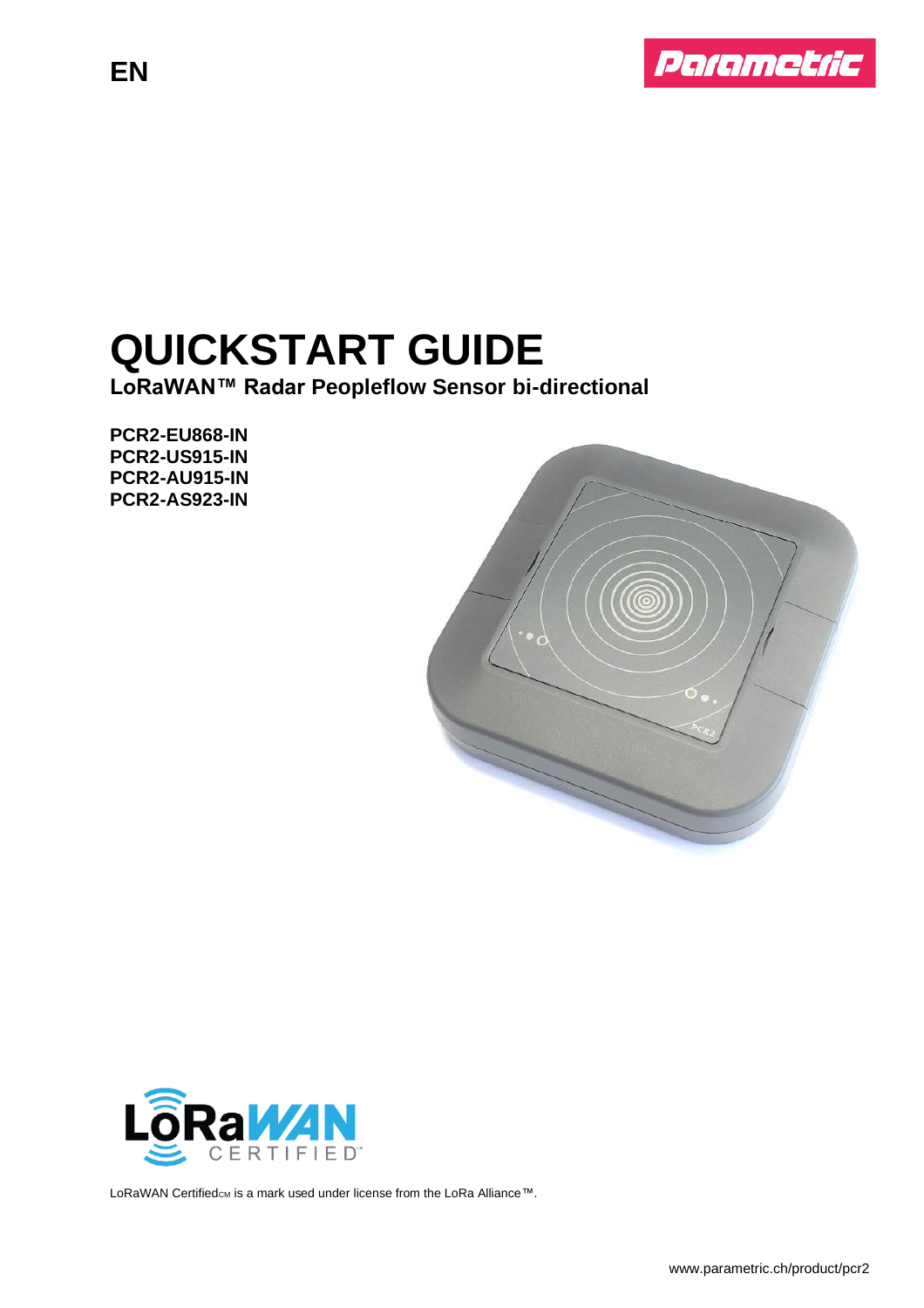

# **QUICKSTART GUIDE**

**LoRaWAN™ Radar Peopleflow Sensor bi-directional**

**PCR2-EU868-IN PCR2-US915-IN PCR2-AU915-IN PCR2-AS923-IN**

**EN**





LoRaWAN Certifiedcm is a mark used under license from the LoRa Alliance™.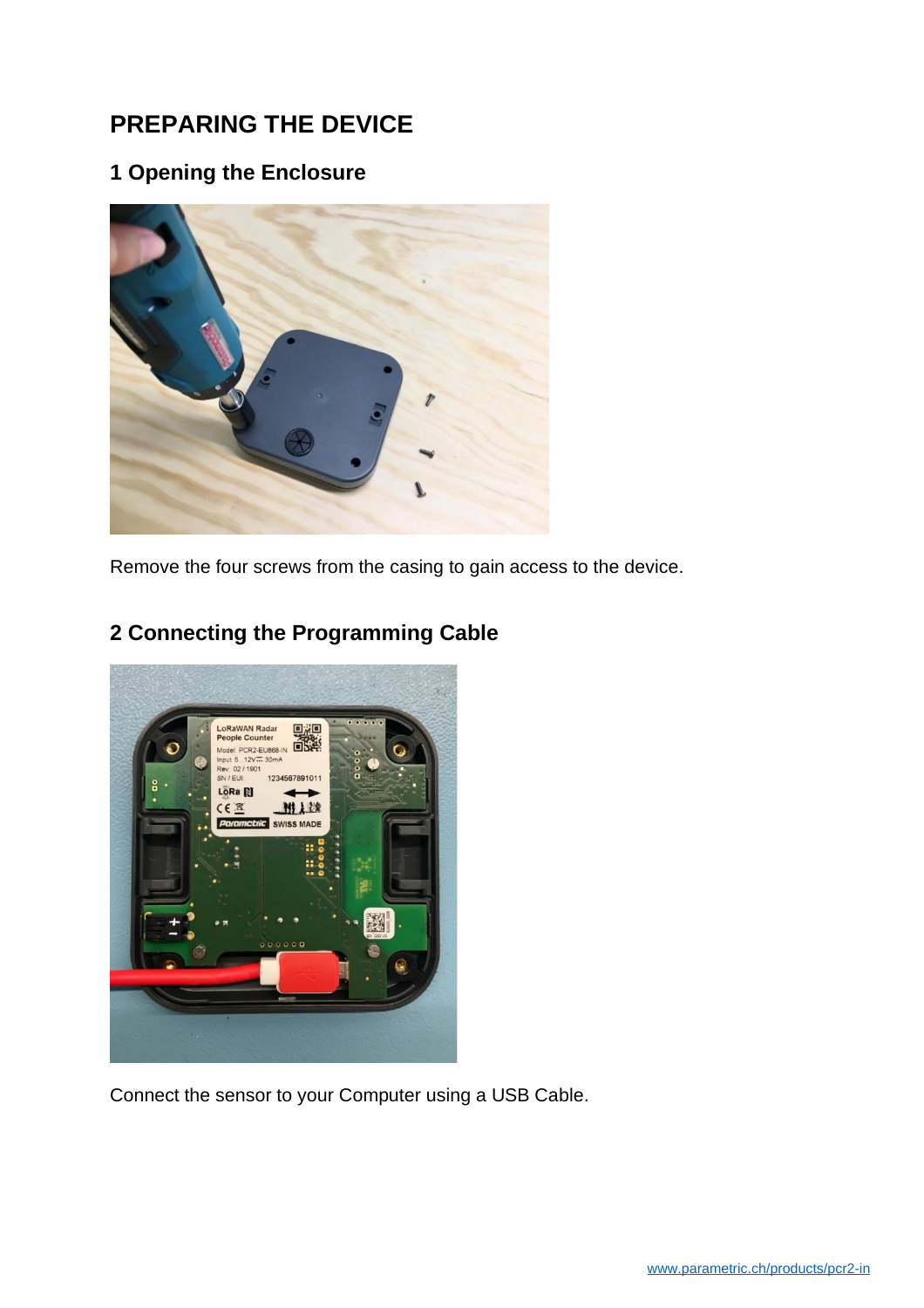# **PREPARING THE DEVICE**

# **1 Opening the Enclosure**



Remove the four screws from the casing to gain access to the device.



# **2 Connecting the Programming Cable**

Connect the sensor to your Computer using a USB Cable.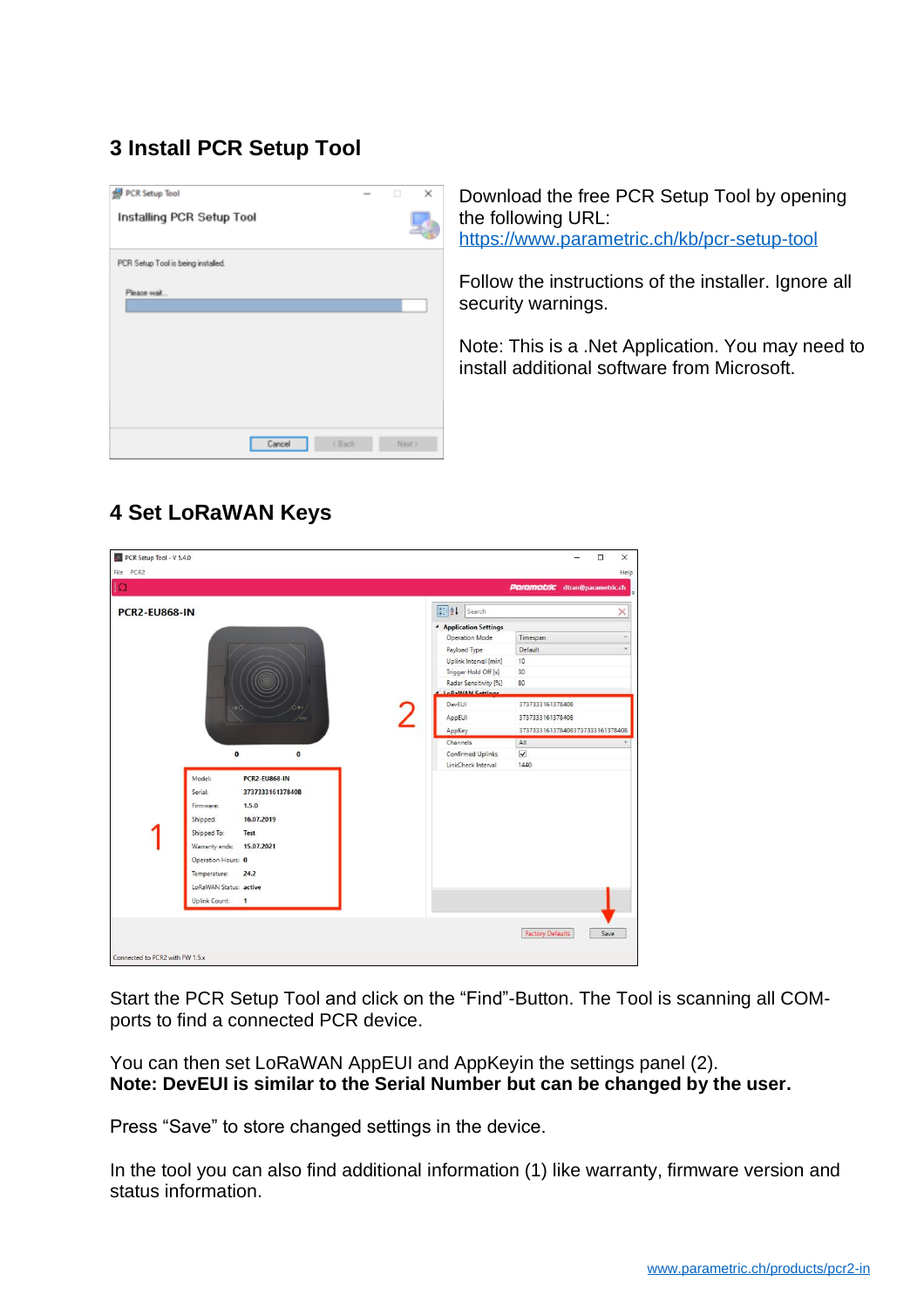# **3 Install PCR Setup Tool**



Download the free PCR Setup Tool by opening the following URL: [https://www.parametric.ch/kb/pcr-setup-tool](https://www.parametric.ch/kb/pcr-setup-tool/)

Follow the instructions of the installer. Ignore all security warnings.

Note: This is a .Net Application. You may need to install additional software from Microsoft.

# **4 Set LoRaWAN Keys**

| <b>PCR2-EU868-IN</b> |                                        |           | 81 21 Search                              |                                  |
|----------------------|----------------------------------------|-----------|-------------------------------------------|----------------------------------|
|                      |                                        |           | <b>4</b> Application Settings             |                                  |
|                      |                                        |           | Operation Mode                            | Timespan                         |
|                      |                                        |           | Payload Type                              | Default                          |
|                      |                                        |           | Uplink Interval [min]                     | 10                               |
|                      |                                        |           | Trigger Hold Off [s]                      | 30                               |
|                      |                                        |           | Radar Sensitivity [%]<br>LoRaWAN Settings | 80                               |
|                      |                                        |           | DevEUI                                    | 373733316137840B                 |
|                      | $\bullet$                              |           |                                           |                                  |
|                      |                                        |           | AppEUI                                    | 3737333161378408                 |
|                      |                                        |           | AppKey                                    | 373733316137840B373733316137840B |
|                      |                                        | $\bullet$ | Channels<br>Confirmed Uplinks             | All<br>$\blacktriangledown$      |
|                      | $\pmb{\mathsf{o}}$                     |           | LinkCheck Interval                        | 1440                             |
|                      | Model:<br><b>PCR2-EU868-IN</b>         |           |                                           |                                  |
|                      |                                        |           |                                           |                                  |
|                      |                                        |           |                                           |                                  |
|                      | Serial:<br>373733316137840B            |           |                                           |                                  |
|                      | 1,5,0<br>Firmware:                     |           |                                           |                                  |
|                      | 16.07.2019<br>Shipped:                 |           |                                           |                                  |
|                      | Shipped To:<br>Test                    |           |                                           |                                  |
|                      | 15.07.2021<br>Warranty ends:           |           |                                           |                                  |
|                      | Operation Hours: 0                     |           |                                           |                                  |
|                      | 24.2<br>Temperature:                   |           |                                           |                                  |
|                      |                                        |           |                                           |                                  |
|                      | LoRaWAN Status: active                 |           |                                           |                                  |
|                      | <b>Uplink Count:</b><br>$\overline{1}$ |           |                                           |                                  |

Start the PCR Setup Tool and click on the "Find"-Button. The Tool is scanning all COMports to find a connected PCR device.

You can then set LoRaWAN AppEUI and AppKeyin the settings panel (2). **Note: DevEUI is similar to the Serial Number but can be changed by the user.**

Press "Save" to store changed settings in the device.

In the tool you can also find additional information (1) like warranty, firmware version and status information.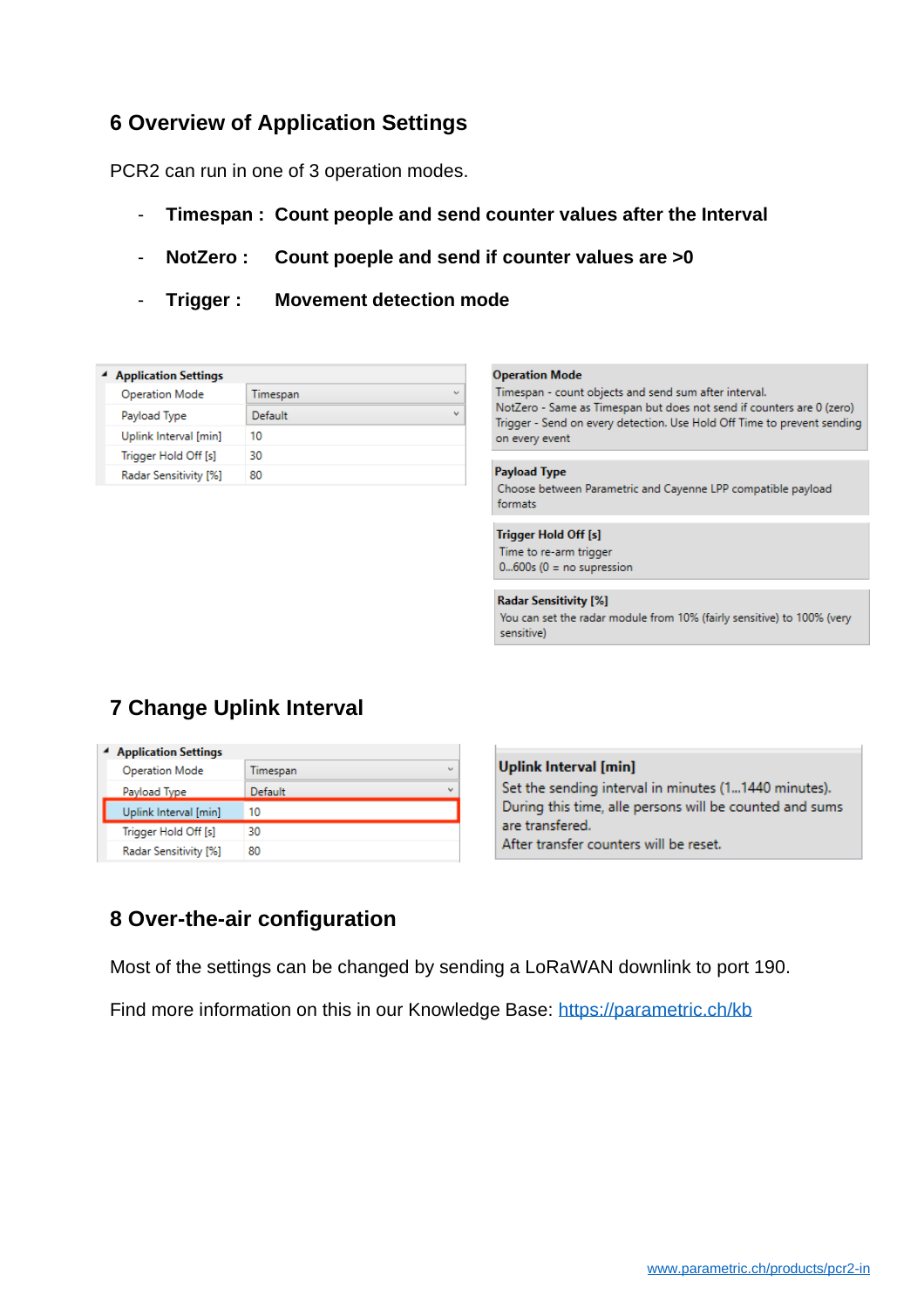# **6 Overview of Application Settings**

PCR2 can run in one of 3 operation modes.

- **Timespan : Count people and send counter values after the Interval**
- **NotZero : Count poeple and send if counter values are >0**
- **Trigger : Movement detection mode**

| <b>Application Settings</b> |          |            |  |  |
|-----------------------------|----------|------------|--|--|
| <b>Operation Mode</b>       | Timespan | $\ddot{}$  |  |  |
| Payload Type                | Default  | $\check{}$ |  |  |
| Uplink Interval [min]       | 10       |            |  |  |
| Trigger Hold Off [s]        | 30       |            |  |  |
| Radar Sensitivity [%]       | 80       |            |  |  |

#### **Operation Mode**

Timespan - count objects and send sum after interval. NotZero - Same as Timespan but does not send if counters are 0 (zero) Trigger - Send on every detection. Use Hold Off Time to prevent sending on every event

**Payload Type** Choose between Parametric and Cayenne LPP compatible payload formats

### **Trigger Hold Off [s]**

Time to re-arm trigger  $0...600s$  (0 = no supression

#### **Radar Sensitivity [%]**

You can set the radar module from 10% (fairly sensitive) to 100% (very sensitive)

# **7 Change Uplink Interval**

| <sup>4</sup> Application Settings |                                      |  |  |  |
|-----------------------------------|--------------------------------------|--|--|--|
| <b>Operation Mode</b>             | $\overline{\phantom{a}}$<br>Timespan |  |  |  |
| Payload Type                      | $\checkmark$<br>Default              |  |  |  |
| Uplink Interval [min]             | 10                                   |  |  |  |
| Trigger Hold Off [s]              | 30                                   |  |  |  |
| Radar Sensitivity [%]             | 80                                   |  |  |  |



# **8 Over-the-air configuration**

Most of the settings can be changed by sending a LoRaWAN downlink to port 190.

Find more information on this in our Knowledge Base:<https://parametric.ch/kb>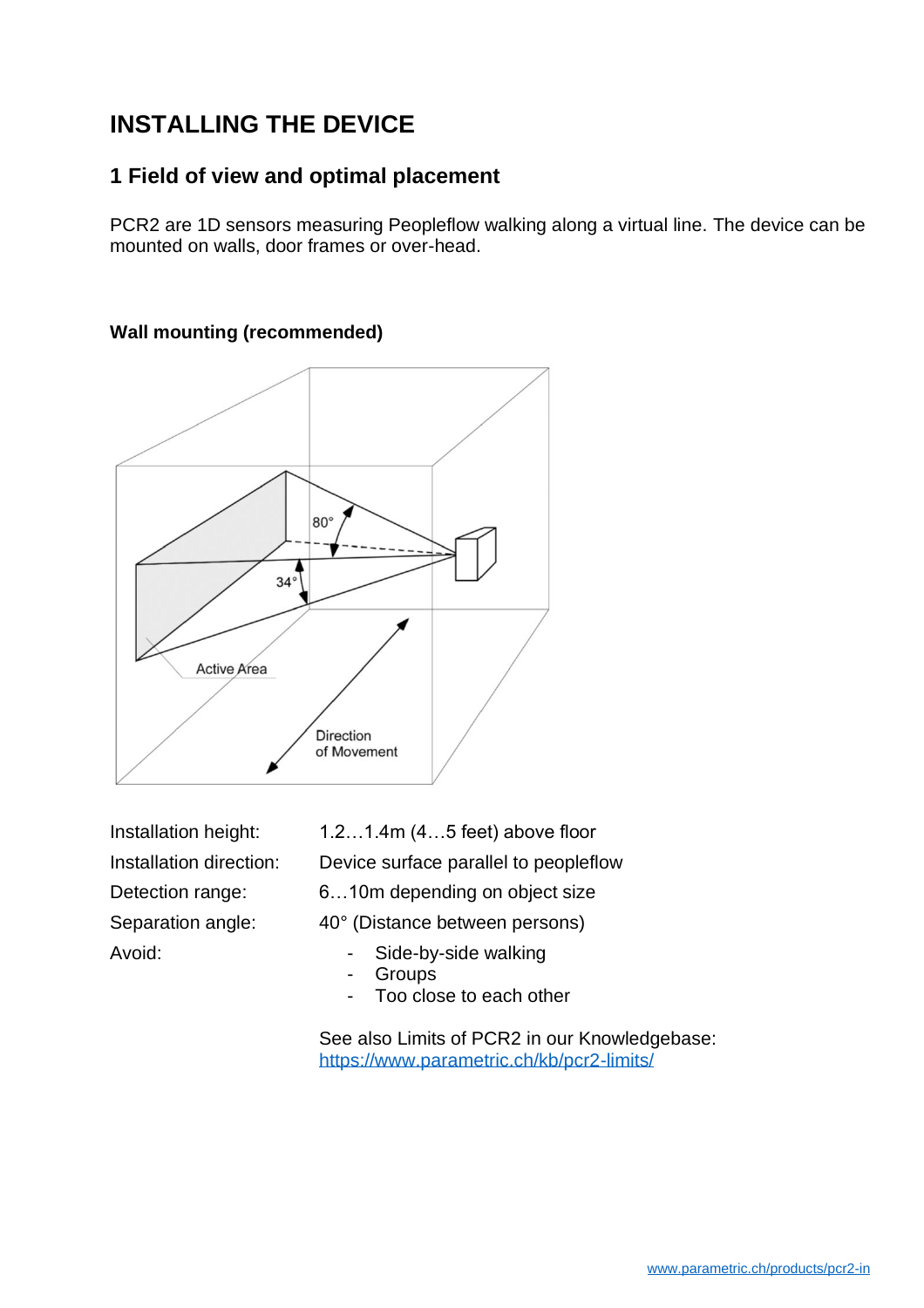# **INSTALLING THE DEVICE**

# **1 Field of view and optimal placement**

PCR2 are 1D sensors measuring Peopleflow walking along a virtual line. The device can be mounted on walls, door frames or over-head.



### **Wall mounting (recommended)**

Installation height: 1.2…1.4m (4…5 feet) above floor Installation direction: Device surface parallel to peopleflow

Detection range: 6…10m depending on object size

Separation angle: 40° (Distance between persons)

- Avoid:  **Side-by-side walking** 
	- **Groups**
	- Too close to each other

See also Limits of PCR2 in our Knowledgebase: <https://www.parametric.ch/kb/pcr2-limits/>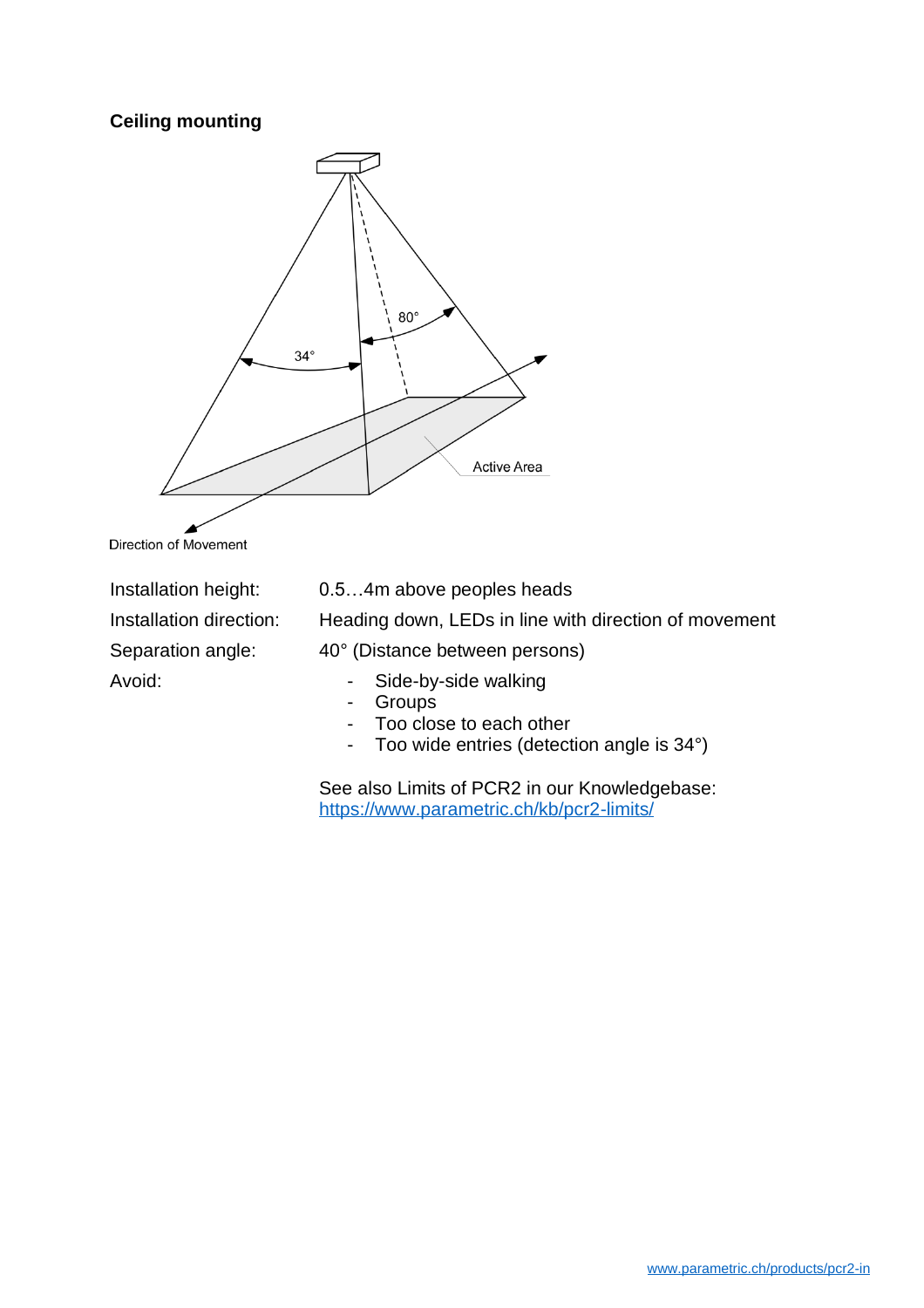### **Ceiling mounting**



Direction of Movement

Installation height: 0.5…4m above peoples heads

Installation direction: Heading down, LEDs in line with direction of movement

Separation angle: 40° (Distance between persons)

- Avoid:  **Side-by-side walking** 
	- **Groups**
	- Too close to each other
	- Too wide entries (detection angle is 34°)

See also Limits of PCR2 in our Knowledgebase: <https://www.parametric.ch/kb/pcr2-limits/>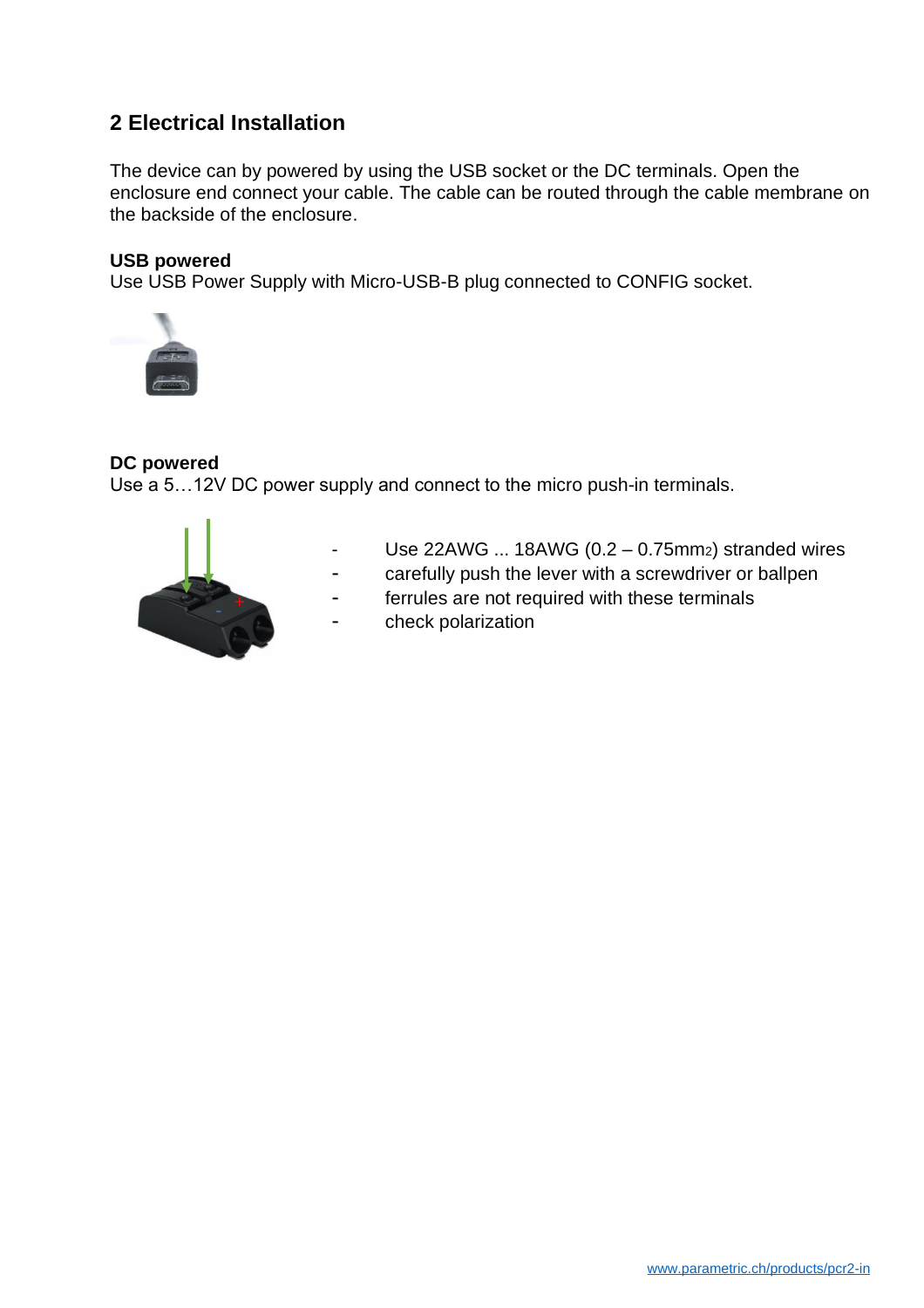# **2 Electrical Installation**

The device can by powered by using the USB socket or the DC terminals. Open the enclosure end connect your cable. The cable can be routed through the cable membrane on the backside of the enclosure.

### **USB powered**

Use USB Power Supply with Micro-USB-B plug connected to CONFIG socket.



### **DC powered**

Use a 5…12V DC power supply and connect to the micro push-in terminals.



- Use 22AWG ... 18AWG ( $0.2 0.75$ mm $z$ ) stranded wires
- carefully push the lever with a screwdriver or ballpen
- ferrules are not required with these terminals
- check polarization